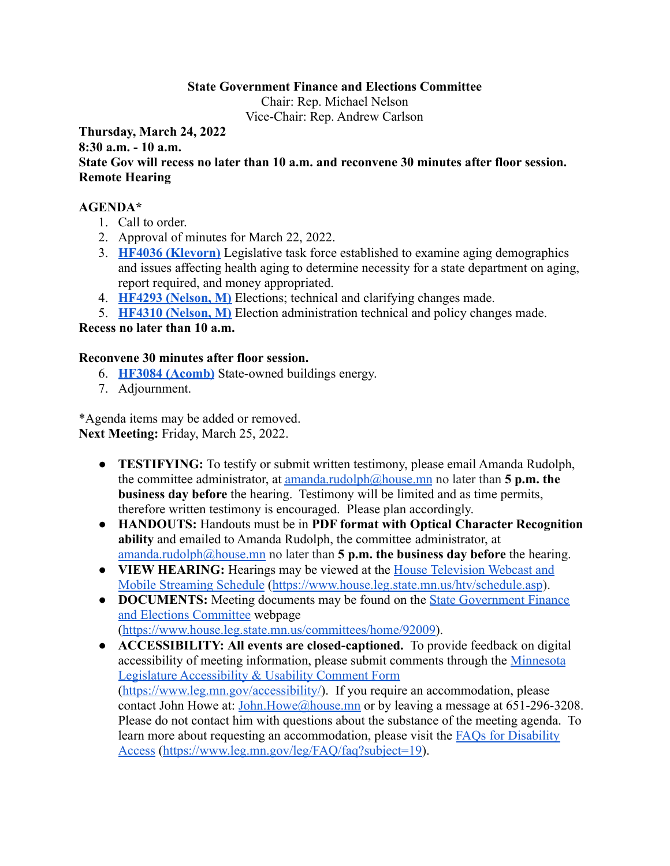## **State Government Finance and Elections Committee**

Chair: Rep. Michael Nelson Vice-Chair: Rep. Andrew Carlson

**Thursday, March 24, 2022 8:30 a.m. - 10 a.m.**

**State Gov will recess no later than 10 a.m. and reconvene 30 minutes after floor session. Remote Hearing**

## **AGENDA\***

- 1. Call to order.
- 2. Approval of minutes for March 22, 2022.
- 3. **[HF4036 \(Klevorn\)](https://www.revisor.mn.gov/bills/bill.php?b=House&f=HF4036&ssn=0&y=2021)** Legislative task force established to examine aging demographics and issues affecting health aging to determine necessity for a state department on aging, report required, and money appropriated.
- 4. **[HF4293 \(Nelson, M\)](https://www.revisor.mn.gov/bills/bill.php?f=HF4293&b=house&y=2022&ssn=0)** Elections; technical and clarifying changes made.
- 5. **[HF4310 \(Nelson, M\)](https://www.revisor.mn.gov/bills/bill.php?b=house&f=HF4310&ssn=0&y=2022)** Election administration technical and policy changes made.

## **Recess no later than 10 a.m.**

## **Reconvene 30 minutes after floor session.**

- 6. **[HF3084 \(Acomb\)](https://www.revisor.mn.gov/bills/bill.php?f=HF3084&b=house&y=2022&ssn=0)** State-owned buildings energy.
- 7. Adjournment.

\*Agenda items may be added or removed. **Next Meeting:** Friday, March 25, 2022.

- **TESTIFYING:** To testify or submit written testimony, please email Amanda Rudolph, the committee administrator, at [amanda.rudolph@house.mn](mailto:amanda.rudolph@house.mn) no later than **5 p.m. the business day before** the hearing. Testimony will be limited and as time permits, therefore written testimony is encouraged. Please plan accordingly.
- **HANDOUTS:** Handouts must be in **PDF format with Optical Character Recognition ability** and emailed to Amanda Rudolph, the committee administrator, at [amanda.rudolph@house.mn](mailto:amanda.rudolph@house.mn) no later than **5 p.m. the business day before** the hearing.
- **VIEW HEARING:** Hearings may be viewed at the House [Television Webcast and](https://www.house.leg.state.mn.us/htv/schedule.asp) [Mobile Streaming Schedule](https://www.house.leg.state.mn.us/htv/schedule.asp) (<https://www.house.leg.state.mn.us/htv/schedule.asp>).
- **DOCUMENTS:** Meeting documents may be found on the **State [Government Finance](https://www.house.leg.state.mn.us/committees/home/92009)** [and Elections Committee](https://www.house.leg.state.mn.us/committees/home/92009) webpage (<https://www.house.leg.state.mn.us/committees/home/92009>).
- **ACCESSIBILITY: All events are closed-captioned.** To provide feedback on digital accessibility of meeting information, please submit comments through the [Minnesota](https://www.leg.mn.gov/accessibility/) [Legislature Accessibility & Usability Comment Form](https://www.leg.mn.gov/accessibility/) ([https://www.leg.mn.gov/accessibility/\)](https://www.leg.mn.gov/accessibility/). If you require an accommodation, please contact John Howe at: [John.Howe@house.mn](mailto:John.Howe@house.mn) or by leaving a message at 651-296-3208. Please do not contact him with questions about the substance of the meeting agenda. To learn more about requesting an accommodation, please visit the [FAQs for Disability](https://www.leg.mn.gov/leg/FAQ/faq?subject=19) [Access](https://www.leg.mn.gov/leg/FAQ/faq?subject=19) (https://www.leg.mn.gov/leg/FAO/faq?subject=19).